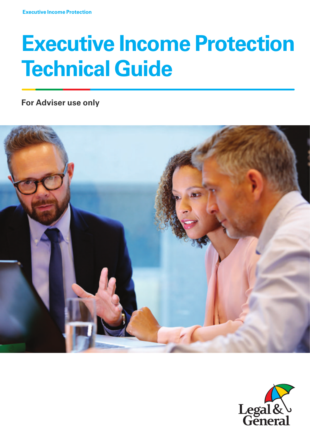# **Executive Income Protection Technical Guide**

**For Adviser use only**



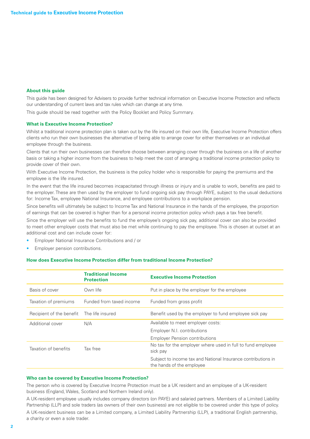#### **About this guide**

This guide has been designed for Advisers to provide further technical information on Executive Income Protection and reflects our understanding of current laws and tax rules which can change at any time.

This guide should be read together with the Policy Booklet and Policy Summary.

#### **What is Executive Income Protection?**

Whilst a traditional income protection plan is taken out by the life insured on their own life, Executive Income Protection offers clients who run their own businesses the alternative of being able to arrange cover for either themselves or an individual employee through the business.

Clients that run their own businesses can therefore choose between arranging cover through the business on a life of another basis or taking a higher income from the business to help meet the cost of arranging a traditional income protection policy to provide cover of their own.

With Executive Income Protection, the business is the policy holder who is responsible for paying the premiums and the employee is the life insured.

In the event that the life insured becomes incapacitated through illness or injury and is unable to work, benefits are paid to the employer. These are then used by the employer to fund ongoing sick pay through PAYE, subject to the usual deductions for: Income Tax, employee National Insurance, and employee contributions to a workplace pension.

Since benefits will ultimately be subject to Income Tax and National Insurance in the hands of the employee, the proportion of earnings that can be covered is higher than for a personal income protection policy which pays a tax free benefit.

Since the employer will use the benefits to fund the employee's ongoing sick pay, additional cover can also be provided to meet other employer costs that must also be met while continuing to pay the employee. This is chosen at outset at an additional cost and can include cover for:

- Employer National Insurance Contributions and / or
- Employer pension contributions.

# **How does Executive Income Protection differ from traditional Income Protection?**

|                                           | <b>Traditional Income</b><br><b>Protection</b> | <b>Executive Income Protection</b>                                                         |
|-------------------------------------------|------------------------------------------------|--------------------------------------------------------------------------------------------|
| Basis of cover                            | Own life                                       | Put in place by the employer for the employee                                              |
| Taxation of premiums                      | Funded from taxed income                       | Funded from gross profit                                                                   |
| Recipient of the benefit The life insured |                                                | Benefit used by the employer to fund employee sick pay                                     |
| Additional cover                          | N/A                                            | Available to meet employer costs:                                                          |
|                                           |                                                | Employer N.I. contributions                                                                |
|                                           |                                                | <b>Employer Pension contributions</b>                                                      |
| Taxation of benefits                      | Tax free                                       | No tax for the employer where used in full to fund employee<br>sick pay                    |
|                                           |                                                | Subject to income tax and National Insurance contributions in<br>the hands of the employee |

#### **Who can be covered by Executive Income Protection?**

The person who is covered by Executive Income Protection must be a UK resident and an employee of a UK-resident business (England, Wales, Scotland and Northern Ireland only).

A UK-resident employee usually includes company directors (on PAYE) and salaried partners. Members of a Limited Liability Partnership (LLP) and sole traders (as owners of their own business) are not eligible to be covered under this type of policy. A UK-resident business can be a Limited company, a Limited Liability Partnership (LLP), a traditional English partnership,

a charity or even a sole trader.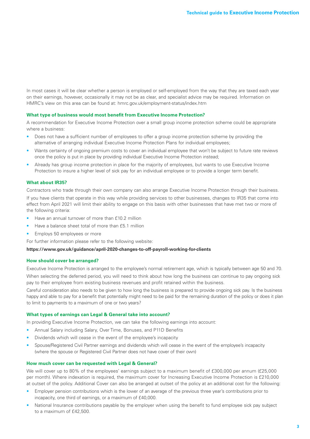In most cases it will be clear whether a person is employed or self-employed from the way that they are taxed each year on their earnings, however, occasionally it may not be as clear, and specialist advice may be required. Information on HMRC's view on this area can be found at: hmrc.gov.uk/employment-status/index.htm

#### **What type of business would most benefit from Executive Income Protection?**

A recommendation for Executive Income Protection over a small group income protection scheme could be appropriate where a business:

- Does not have a sufficient number of employees to offer a group income protection scheme by providing the alternative of arranging individual Executive Income Protection Plans for individual employees;
- Wants certainty of ongoing premium costs to cover an individual employee that won't be subject to future rate reviews once the policy is put in place by providing individual Executive Income Protection instead;
- Already has group income protection in place for the majority of employees, but wants to use Executive Income Protection to insure a higher level of sick pay for an individual employee or to provide a longer term benefit.

#### **What about IR35?**

Contractors who trade through their own company can also arrange Executive Income Protection through their business. If you have clients that operate in this way while providing services to other businesses, changes to IR35 that come into effect from April 2021 will limit their ability to engage on this basis with other businesses that have met two or more of the following criteria:

- Have an annual turnover of more than £10.2 million
- Have a balance sheet total of more than £5.1 million
- Employs 50 employees or more

For further information please refer to the following website:

### **<https://www.gov.uk/guidance/april-2020-changes-to-off-payroll-working-for-clients>**

#### **How should cover be arranged?**

Executive Income Protection is arranged to the employee's normal retirement age, which is typically between age 50 and 70. When selecting the deferred period, you will need to think about how long the business can continue to pay ongoing sick pay to their employee from existing business revenues and profit retained within the business.

Careful consideration also needs to be given to how long the business is prepared to provide ongoing sick pay. Is the business happy and able to pay for a benefit that potentially might need to be paid for the remaining duration of the policy or does it plan to limit to payments to a maximum of one or two years?

#### **What types of earnings can Legal & General take into account?**

In providing Executive Income Protection, we can take the following earnings into account:

- Annual Salary including Salary, Over Time, Bonuses, and P11D Benefits
- Dividends which will cease in the event of the employee's incapacity
- Spouse/Registered Civil Partner earnings and dividends which will cease in the event of the employee's incapacity (where the spouse or Registered Civil Partner does not have cover of their own)

#### **How much cover can be requested with Legal & General?**

We will cover up to 80% of the employees' earnings subject to a maximum benefit of £300,000 per annum (£25,000 per month). Where indexation is required, the maximum cover for Increasing Executive Income Protection is £210,000 at outset of the policy. Additional Cover can also be arranged at outset of the policy at an additional cost for the following:

- Employer pension contributions which is the lower of an average of the previous three year's contributions prior to incapacity, one third of earnings, or a maximum of £40,000.
- National Insurance contributions payable by the employer when using the benefit to fund employee sick pay subject to a maximum of £42,500.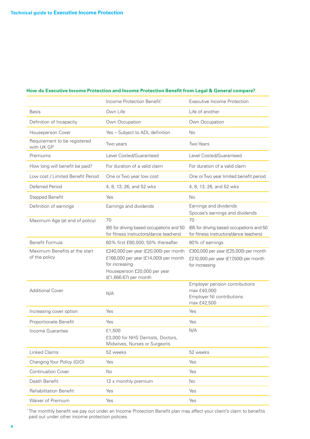# **How do Executive Income Protection and Income Protection Benefit from Legal & General compare?**

|                                                | Income Protection Benefit*                                                                                                       | <b>Executive Income Protection</b>                                                               |
|------------------------------------------------|----------------------------------------------------------------------------------------------------------------------------------|--------------------------------------------------------------------------------------------------|
| <b>Basis</b>                                   | Own Life                                                                                                                         | Life of another                                                                                  |
| Definition of Incapacity                       | Own Occupation                                                                                                                   | Own Occupation                                                                                   |
| Houseperson Cover                              | Yes - Subject to ADL definition                                                                                                  | No                                                                                               |
| Requirement to be registered<br>with UK GP     | Two years                                                                                                                        | <b>Two Years</b>                                                                                 |
| Premiums                                       | Level Costed/Guaranteed                                                                                                          | Level Costed/Guaranteed                                                                          |
| How long will benefit be paid?                 | For duration of a valid claim                                                                                                    | For duration of a valid claim                                                                    |
| Low cost / Limited Benefit Period              | One or Two year low cost                                                                                                         | One or Two year limited benefit period                                                           |
| Deferred Period                                | 4, 8, 13, 26, and 52 wks                                                                                                         | 4, 8, 13, 26, and 52 wks                                                                         |
| <b>Stepped Benefit</b>                         | Yes                                                                                                                              | No                                                                                               |
| Definition of earnings                         | Earnings and dividends                                                                                                           | Earnings and dividends<br>Spouse's earnings and dividends                                        |
| Maximum Age (at end of policy)                 | 70<br>(65 for driving based occupations and 50<br>for fitness instructors/dance teachers)                                        | 70<br>(65 for driving based occupations and 50<br>for fitness instructors/dance teachers)        |
| Benefit Formula                                | 60% first £60,000; 50% thereafter                                                                                                | 80% of earnings                                                                                  |
| Maximum Benefits at the start<br>of the policy | £240,000 per year (£20,000) per month<br>£168,000 per year (£14,000) per month<br>for increasing<br>Houseperson £20,000 per year | £300,000 per year (£25,000) per month<br>£210,000 per year (£17,500) per month<br>for increasing |
|                                                | (£1,666.67) per month                                                                                                            |                                                                                                  |
| <b>Additional Cover</b>                        | N/A                                                                                                                              | Employer pension contributions<br>max £40,000<br><b>Employer NI contributions</b><br>max £42,500 |
| Increasing cover option                        | Yes                                                                                                                              | Yes                                                                                              |
| Proportionate Benefit                          | Yes                                                                                                                              | Yes                                                                                              |
| Income Guarantee                               | £1,500<br>£3,000 for NHS Dentists, Doctors,<br>Midwives, Nurses or Surgeons                                                      | N/A                                                                                              |
| <b>Linked Claims</b>                           | 52 weeks                                                                                                                         | 52 weeks                                                                                         |
| Changing Your Policy (GIO)                     | Yes                                                                                                                              | Yes                                                                                              |
| <b>Continuation Cover</b>                      | <b>No</b>                                                                                                                        | Yes                                                                                              |
| Death Benefit                                  | 12 x monthly premium                                                                                                             | No                                                                                               |
| <b>Rehabilitation Benefit</b>                  | Yes                                                                                                                              | Yes                                                                                              |
| Waiver of Premium                              | Yes                                                                                                                              | Yes                                                                                              |

\* The monthly benefit we pay out under an Income Protection Benefit plan may affect your client's claim to benefits paid out under other income protection policies.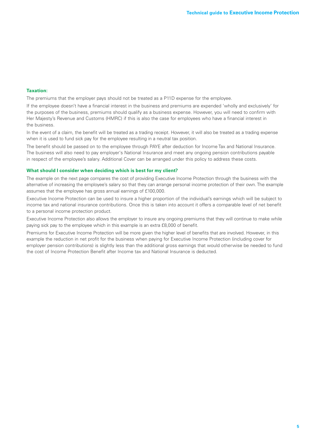## **Taxation:**

The premiums that the employer pays should not be treated as a P11D expense for the employee.

If the employee doesn't have a financial interest in the business and premiums are expended 'wholly and exclusively' for the purposes of the business, premiums should qualify as a business expense. However, you will need to confirm with Her Majesty's Revenue and Customs (HMRC) if this is also the case for employees who have a financial interest in the business.

In the event of a claim, the benefit will be treated as a trading receipt. However, it will also be treated as a trading expense when it is used to fund sick pay for the employee resulting in a neutral tax position.

The benefit should be passed on to the employee through PAYE after deduction for Income Tax and National Insurance. The business will also need to pay employer's National Insurance and meet any ongoing pension contributions payable in respect of the employee's salary. Additional Cover can be arranged under this policy to address these costs.

#### **What should I consider when deciding which is best for my client?**

The example on the next page compares the cost of providing Executive Income Protection through the business with the alternative of increasing the employee's salary so that they can arrange personal income protection of their own. The example assumes that the employee has gross annual earnings of £100,000.

Executive Income Protection can be used to insure a higher proportion of the individual's earnings which will be subject to income tax and national insurance contributions. Once this is taken into account it offers a comparable level of net benefit to a personal income protection product.

Executive Income Protection also allows the employer to insure any ongoing premiums that they will continue to make while paying sick pay to the employee which in this example is an extra £8,000 of benefit.

Premiums for Executive Income Protection will be more given the higher level of benefits that are involved. However, in this example the reduction in net profit for the business when paying for Executive Income Protection (including cover for employer pension contributions) is slightly less than the additional gross earnings that would otherwise be needed to fund the cost of Income Protection Benefit after Income tax and National Insurance is deducted.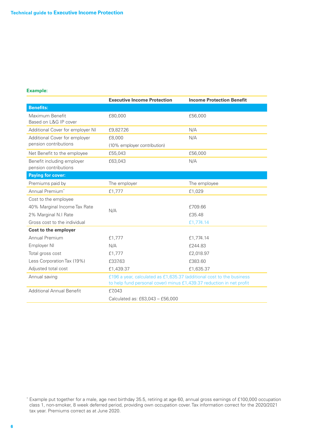# **Example:**

|                                                     | <b>Executive Income Protection</b>                                    | <b>Income Protection Benefit</b> |  |
|-----------------------------------------------------|-----------------------------------------------------------------------|----------------------------------|--|
| <b>Benefits:</b>                                    |                                                                       |                                  |  |
| Maximum Benefit<br>Based on L&G IP cover            | £80,000                                                               | £56,000                          |  |
| Additional Cover for employer NI                    | £9,827.26                                                             | N/A                              |  |
| Additional Cover for employer                       | £8,000                                                                | N/A                              |  |
| pension contributions                               | (10% employer contribution)                                           |                                  |  |
| Net Benefit to the employee                         | £55,043                                                               | £56,000                          |  |
| Benefit including employer<br>pension contributions | £63,043                                                               | N/A                              |  |
| <b>Paying for cover:</b>                            |                                                                       |                                  |  |
| Premiums paid by                                    | The employer                                                          | The employee                     |  |
| Annual Premium*                                     | £1,777                                                                | £1,029                           |  |
| Cost to the employee                                |                                                                       |                                  |  |
| 40% Marginal Income Tax Rate                        | N/A                                                                   | £709.66                          |  |
| 2% Marginal N.I Rate                                |                                                                       | £35.48                           |  |
| Gross cost to the individual                        |                                                                       | £1,774.14                        |  |
| Cost to the employer                                |                                                                       |                                  |  |
| Annual Premium                                      | £1,777                                                                | £1,774.14                        |  |
| Employer NI                                         | N/A                                                                   | £244.83                          |  |
| Total gross cost                                    | £1,777                                                                | £2.018.97                        |  |
| Less Corporation Tax (19%)                          | £337.63                                                               | £383.60                          |  |
| Adjusted total cost                                 | £1,439.37                                                             | £1,635.37                        |  |
| Annual saving                                       | £196 a year, calculated as £1,635.37 (additional cost to the business |                                  |  |
|                                                     | to help fund personal cover) minus £1,439.37 reduction in net profit  |                                  |  |
| <b>Additional Annual Benefit</b>                    | £7,043                                                                |                                  |  |
|                                                     | Calculated as: £63,043 - £56,000                                      |                                  |  |

<sup>\*</sup> Example put together for a male, age next birthday 35.5, retiring at age 60, annual gross earnings of £100,000 occupation class 1, non-smoker, 8 week deferred period, providing own occupation cover. Tax information correct for the 2020/2021 tax year. Premiums correct as at June 2020.